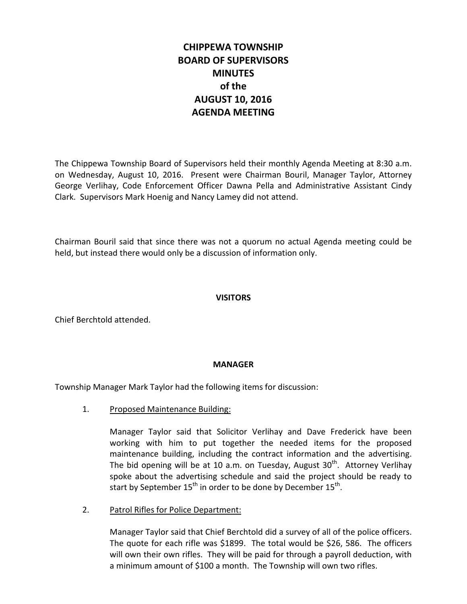# **CHIPPEWA TOWNSHIP BOARD OF SUPERVISORS MINUTES of the AUGUST 10, 2016 AGENDA MEETING**

The Chippewa Township Board of Supervisors held their monthly Agenda Meeting at 8:30 a.m. on Wednesday, August 10, 2016. Present were Chairman Bouril, Manager Taylor, Attorney George Verlihay, Code Enforcement Officer Dawna Pella and Administrative Assistant Cindy Clark. Supervisors Mark Hoenig and Nancy Lamey did not attend.

Chairman Bouril said that since there was not a quorum no actual Agenda meeting could be held, but instead there would only be a discussion of information only.

# **VISITORS**

Chief Berchtold attended.

# **MANAGER**

Township Manager Mark Taylor had the following items for discussion:

1. Proposed Maintenance Building:

Manager Taylor said that Solicitor Verlihay and Dave Frederick have been working with him to put together the needed items for the proposed maintenance building, including the contract information and the advertising. The bid opening will be at 10 a.m. on Tuesday, August  $30<sup>th</sup>$ . Attorney Verlihay spoke about the advertising schedule and said the project should be ready to start by September  $15^{th}$  in order to be done by December  $15^{th}$ .

2. Patrol Rifles for Police Department:

Manager Taylor said that Chief Berchtold did a survey of all of the police officers. The quote for each rifle was \$1899. The total would be \$26, 586. The officers will own their own rifles. They will be paid for through a payroll deduction, with a minimum amount of \$100 a month. The Township will own two rifles.